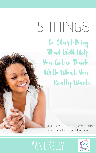## **Yani Kelly**



# $5$   $HINGS$ to Start Doing That Will Help You Get in Touch With What You



### Really Want

#### If you follow these tips, I guarantee that your life will changefor the better.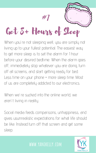When we're sucked into the online world, we aren 't living in reality.

of us are completely addicted to our electronics.

Social media feeds comparisons, unhappiness, and gives usunrealistic expectations for what life should be like. Instead turn off that screen and get some sleep.

# Get 8+ Hours of Sleep #1

When you ' re not sleeping well, you are simply not living up to your fullest potential. The easiest way to get more sleep is to set the alarm for 1 hour before your desired bedtime. When the alarm goes off, immediately stop whatever you are doing, turn off all screens, and start getting ready for bed. Less time on your phone = more sleep time. Most )<br>)<br>)

#### **www.yanikelly.com**

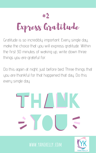Gratitude is so incredibly important. Every single day, make the choice that you will express gratitude. Within the first 30 minutes of waking up, write down three things you are grateful for.



Do this again at night, just before bed. Three things that you are thankful for that happened that day. Do this every single day.



#### **www.yanikelly.com**

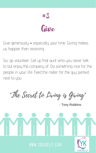

Give generously **–** especially your time. Giving makes us happier than receiving.

So, go volunteer. Call up that aunt who you never talk to but enjoy the company of. Do something nice for the people in your life. Feed the meter for the guy parked next to you.



#### **www.yanikelly.com**



"The Secret to Living is Giving"

- Tony Robbins

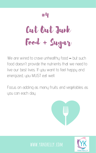# Cut Out Junk Food + Sugar



#### **www.yanikelly.com**



We are wired to crave unhealthy food **–** but such food doesn 't provide the nutrients that we need to live our best lives. If you want to feel happy and energized, you MUST eat well.

#### Focus on adding as many fruits and vegetables as you can each day.